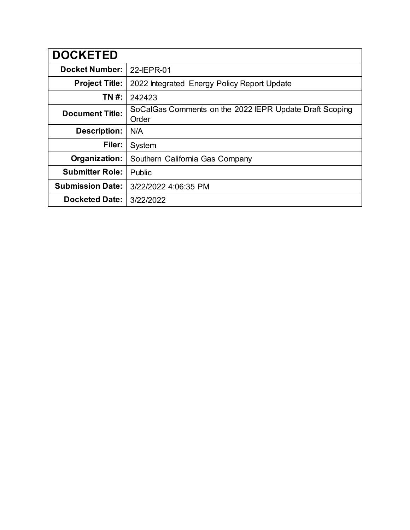| <b>DOCKETED</b>         |                                                                  |
|-------------------------|------------------------------------------------------------------|
| <b>Docket Number:</b>   | 22-IEPR-01                                                       |
| <b>Project Title:</b>   | 2022 Integrated Energy Policy Report Update                      |
| TN #:                   | 242423                                                           |
| <b>Document Title:</b>  | SoCalGas Comments on the 2022 IEPR Update Draft Scoping<br>Order |
| <b>Description:</b>     | N/A                                                              |
| Filer:                  | System                                                           |
| Organization:           | Southern California Gas Company                                  |
| <b>Submitter Role:</b>  | Public                                                           |
| <b>Submission Date:</b> | 3/22/2022 4:06:35 PM                                             |
| <b>Docketed Date:</b>   | 3/22/2022                                                        |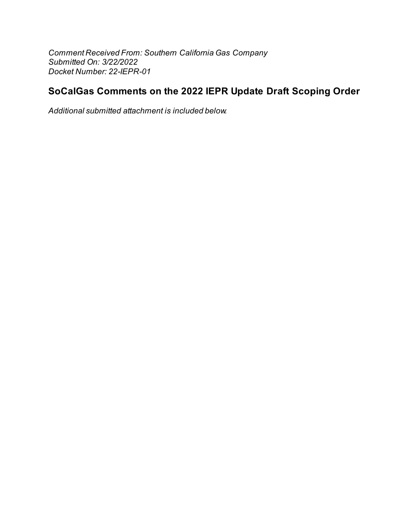Comment Received From: Southern California Gas Company Submitted On: 3/22/2022 Docket Number: 22-IEPR-01

# SoCalGas Comments on the 2022 IEPR Update Draft Scoping Order

Additional submitted attachment is included below.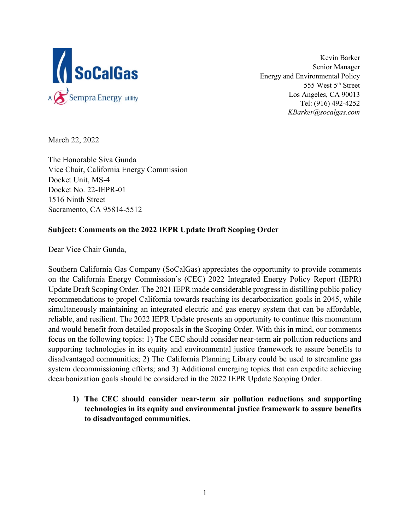

Kevin Barker Senior Manager Energy and Environmental Policy 555 West 5<sup>th</sup> Street Los Angeles, CA 90013 Tel: (916) 492-4252 *KBarker@socalgas.com*

March 22, 2022

The Honorable Siva Gunda Vice Chair, California Energy Commission Docket Unit, MS-4 Docket No. 22-IEPR-01 1516 Ninth Street Sacramento, CA 95814-5512

### **Subject: Comments on the 2022 IEPR Update Draft Scoping Order**

Dear Vice Chair Gunda,

Southern California Gas Company (SoCalGas) appreciates the opportunity to provide comments on the California Energy Commission's (CEC) 2022 Integrated Energy Policy Report (IEPR) Update Draft Scoping Order. The 2021 IEPR made considerable progress in distilling public policy recommendations to propel California towards reaching its decarbonization goals in 2045, while simultaneously maintaining an integrated electric and gas energy system that can be affordable, reliable, and resilient. The 2022 IEPR Update presents an opportunity to continue this momentum and would benefit from detailed proposals in the Scoping Order. With this in mind, our comments focus on the following topics: 1) The CEC should consider near-term air pollution reductions and supporting technologies in its equity and environmental justice framework to assure benefits to disadvantaged communities; 2) The California Planning Library could be used to streamline gas system decommissioning efforts; and 3) Additional emerging topics that can expedite achieving decarbonization goals should be considered in the 2022 IEPR Update Scoping Order.

**1) The CEC should consider near-term air pollution reductions and supporting technologies in its equity and environmental justice framework to assure benefits to disadvantaged communities.**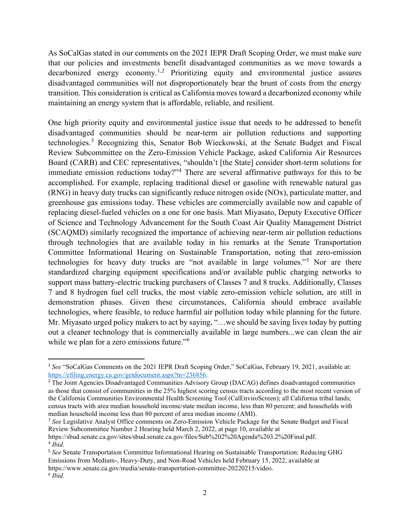As SoCalGas stated in our comments on the 2021 IEPR Draft Scoping Order, we must make sure that our policies and investments benefit disadvantaged communities as we move towards a decarbonized energy economy.<sup>[1](#page-3-0),[2](#page-3-1)</sup> Prioritizing equity and environmental justice assures disadvantaged communities will not disproportionately bear the brunt of costs from the energy transition. This consideration is critical as California moves toward a decarbonized economy while maintaining an energy system that is affordable, reliable, and resilient.

One high priority equity and environmental justice issue that needs to be addressed to benefit disadvantaged communities should be near-term air pollution reductions and supporting technologies. [3](#page-3-2) Recognizing this, Senator Bob Wieckowski, at the Senate Budget and Fiscal Review Subcommittee on the Zero-Emission Vehicle Package, asked California Air Resources Board (CARB) and CEC representatives, "shouldn't [the State] consider short-term solutions for immediate emission reductions today?"[4](#page-3-3) There are several affirmative pathways for this to be accomplished. For example, replacing traditional diesel or gasoline with renewable natural gas (RNG) in heavy duty trucks can significantly reduce nitrogen oxide (NOx), particulate matter, and greenhouse gas emissions today. These vehicles are commercially available now and capable of replacing diesel-fueled vehicles on a one for one basis. Matt Miyasato, Deputy Executive Officer of Science and Technology Advancement for the South Coast Air Quality Management District (SCAQMD) similarly recognized the importance of achieving near-term air pollution reductions through technologies that are available today in his remarks at the Senate Transportation Committee Informational Hearing on Sustainable Transportation, noting that zero-emission technologies for heavy duty trucks are "not available in large volumes."[5](#page-3-4) Nor are there standardized charging equipment specifications and/or available public charging networks to support mass battery-electric trucking purchasers of Classes 7 and 8 trucks. Additionally, Classes 7 and 8 hydrogen fuel cell trucks, the most viable zero-emission vehicle solution, are still in demonstration phases. Given these circumstances, California should embrace available technologies, where feasible, to reduce harmful air pollution today while planning for the future. Mr. Miyasato urged policy makers to act by saying, "…we should be saving lives today by putting out a cleaner technology that is commercially available in large numbers...we can clean the air while we plan for a zero emissions future."<sup>[6](#page-3-5)</sup>

<span id="page-3-0"></span><sup>1</sup> *See* "SoCalGas Comments on the 2021 IEPR Draft Scoping Order," SoCalGas, February 19, 2021, available at: [https://efiling.energy.ca.gov/getdocument.aspx?tn=236856.](https://efiling.energy.ca.gov/getdocument.aspx?tn=236856)

<span id="page-3-1"></span><sup>&</sup>lt;sup>2</sup> The Joint Agencies Disadvantaged Communities Advisory Group (DACAG) defines disadvantaged communities as those that consist of communities in the 25% highest scoring census tracts according to the most recent version of the California Communities Environmental Health Screening Tool (CalEnviroScreen); all California tribal lands; census tracts with area median household income/state median income, less than 80 percent; and households with median household income less than 80 percent of area median income (AMI).

<span id="page-3-2"></span><sup>3</sup> *See* Legislative Analyst Office comments on Zero-Emission Vehicle Package for the Senate Budget and Fiscal Review Subcommittee Number 2 Hearing held March 2, 2022, at page 10, available at

<span id="page-3-3"></span>https://sbud.senate.ca.gov/sites/sbud.senate.ca.gov/files/Sub%202%20Agenda%203.2%20Final.pdf. <sup>4</sup> *Ibid*.

<span id="page-3-5"></span><span id="page-3-4"></span><sup>5</sup> *See* Senate Transportation Committee Informational Hearing on Sustainable Transportation: Reducing GHG Emissions from Medium-, Heavy-Duty, and Non-Road Vehicles held February 15, 2022, available at https://www.senate.ca.gov/media/senate-transportation-committee-20220215/video. <sup>6</sup> *Ibid.*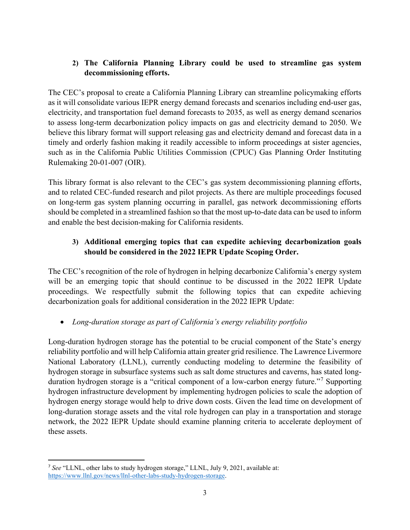### **2) The California Planning Library could be used to streamline gas system decommissioning efforts.**

The CEC's proposal to create a California Planning Library can streamline policymaking efforts as it will consolidate various IEPR energy demand forecasts and scenarios including end-user gas, electricity, and transportation fuel demand forecasts to 2035, as well as energy demand scenarios to assess long-term decarbonization policy impacts on gas and electricity demand to 2050. We believe this library format will support releasing gas and electricity demand and forecast data in a timely and orderly fashion making it readily accessible to inform proceedings at sister agencies, such as in the California Public Utilities Commission (CPUC) Gas Planning Order Instituting Rulemaking 20-01-007 (OIR).

This library format is also relevant to the CEC's gas system decommissioning planning efforts, and to related CEC-funded research and pilot projects. As there are multiple proceedings focused on long-term gas system planning occurring in parallel, gas network decommissioning efforts should be completed in a streamlined fashion so that the most up-to-date data can be used to inform and enable the best decision-making for California residents.

# **3) Additional emerging topics that can expedite achieving decarbonization goals should be considered in the 2022 IEPR Update Scoping Order.**

The CEC's recognition of the role of hydrogen in helping decarbonize California's energy system will be an emerging topic that should continue to be discussed in the 2022 IEPR Update proceedings. We respectfully submit the following topics that can expedite achieving decarbonization goals for additional consideration in the 2022 IEPR Update:

# • *Long-duration storage as part of California's energy reliability portfolio*

Long-duration hydrogen storage has the potential to be crucial component of the State's energy reliability portfolio and will help California attain greater grid resilience. The Lawrence Livermore National Laboratory (LLNL), currently conducting modeling to determine the feasibility of hydrogen storage in subsurface systems such as salt dome structures and caverns, has stated long-duration hydrogen storage is a "critical component of a low-carbon energy future."<sup>[7](#page-4-0)</sup> Supporting hydrogen infrastructure development by implementing hydrogen policies to scale the adoption of hydrogen energy storage would help to drive down costs. Given the lead time on development of long-duration storage assets and the vital role hydrogen can play in a transportation and storage network, the 2022 IEPR Update should examine planning criteria to accelerate deployment of these assets.

<span id="page-4-0"></span><sup>7</sup> *See* "LLNL, other labs to study hydrogen storage," LLNL, July 9, 2021, available at: [https://www.llnl.gov/news/llnl-other-labs-study-hydrogen-storage.](https://www.llnl.gov/news/llnl-other-labs-study-hydrogen-storage)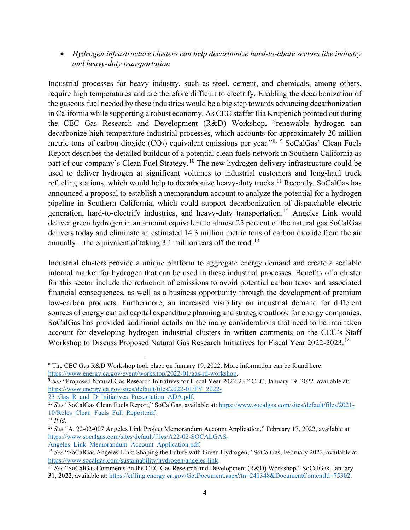• *Hydrogen infrastructure clusters can help decarbonize hard-to-abate sectors like industry and heavy-duty transportation*

Industrial processes for heavy industry, such as steel, cement, and chemicals, among others, require high temperatures and are therefore difficult to electrify. Enabling the decarbonization of the gaseous fuel needed by these industries would be a big step towards advancing decarbonization in California while supporting a robust economy. As CEC staffer Ilia Krupenich pointed out during the CEC Gas Research and Development (R&D) Workshop, "renewable hydrogen can decarbonize high-temperature industrial processes, which accounts for approximately 20 million metric tons of carbon dioxide  $(CO_2)$  equivalent emissions per year."<sup>[8,](#page-5-0) [9](#page-5-1)</sup> SoCalGas' Clean Fuels Report describes the detailed buildout of a potential clean fuels network in Southern California as part of our company's Clean Fuel Strategy.<sup>[10](#page-5-2)</sup> The new hydrogen delivery infrastructure could be used to deliver hydrogen at significant volumes to industrial customers and long-haul truck refueling stations, which would help to decarbonize heavy-duty trucks.<sup>[11](#page-5-3)</sup> Recently, SoCalGas has announced a proposal to establish a memorandum account to analyze the potential for a hydrogen pipeline in Southern California, which could support decarbonization of dispatchable electric generation, hard-to-electrify industries, and heavy-duty transportation.<sup>[12](#page-5-4)</sup> Angeles Link would deliver green hydrogen in an amount equivalent to almost 25 percent of the natural gas SoCalGas delivers today and eliminate an estimated 14.3 million metric tons of carbon dioxide from the air annually – the equivalent of taking 3.1 million cars off the road.<sup>[13](#page-5-5)</sup>

Industrial clusters provide a unique platform to aggregate energy demand and create a scalable internal market for hydrogen that can be used in these industrial processes. Benefits of a cluster for this sector include the reduction of emissions to avoid potential carbon taxes and associated financial consequences, as well as a business opportunity through the development of premium low-carbon products. Furthermore, an increased visibility on industrial demand for different sources of energy can aid capital expenditure planning and strategic outlook for energy companies. SoCalGas has provided additional details on the many considerations that need to be into taken account for developing hydrogen industrial clusters in written comments on the CEC's Staff Workshop to Discuss Proposed Natural Gas Research Initiatives for Fiscal Year 2022-2023.[14](#page-5-6)

<span id="page-5-0"></span><sup>8</sup> The CEC Gas R&D Workshop took place on January 19, 2022. More information can be found here: [https://www.energy.ca.gov/event/workshop/2022-01/gas-rd-workshop.](https://www.energy.ca.gov/event/workshop/2022-01/gas-rd-workshop) 

<span id="page-5-1"></span><sup>9</sup> *See* "Proposed Natural Gas Research Initiatives for Fiscal Year 2022-23," CEC, January 19, 2022, available at: [https://www.energy.ca.gov/sites/default/files/2022-01/FY\\_2022-](https://www.energy.ca.gov/sites/default/files/2022-01/FY_2022-23_Gas_R_and_D_Initiatives_Presentation_ADA.pdf)

<sup>23</sup> Gas R and D Initiatives Presentation ADA.pdf.

<span id="page-5-2"></span><sup>&</sup>lt;sup>10</sup> See "SoCalGas Clean Fuels Report," SoCalGas, available at: [https://www.socalgas.com/sites/default/files/2021-](https://www.socalgas.com/sites/default/files/2021-10/Roles_Clean_Fuels_Full_Report.pdf) [10/Roles\\_Clean\\_Fuels\\_Full\\_Report.pdf.](https://www.socalgas.com/sites/default/files/2021-10/Roles_Clean_Fuels_Full_Report.pdf)

<span id="page-5-3"></span><sup>11</sup> *Ibid.*

<span id="page-5-4"></span><sup>&</sup>lt;sup>12</sup> See "A. 22-02-007 Angeles Link Project Memorandum Account Application," February 17, 2022, available at [https://www.socalgas.com/sites/default/files/A22-02-SOCALGAS-](https://www.socalgas.com/sites/default/files/A22-02-SOCALGAS-Angeles_Link_Memorandum_Account_Application.pdf)Angeles Link Memorandum Account Application.pdf.

<span id="page-5-5"></span><sup>&</sup>lt;sup>13</sup> See "SoCalGas Angeles Link: Shaping the Future with Green Hydrogen," SoCalGas, February 2022, available at [https://www.socalgas.com/sustainability/hydrogen/angeles-link.](https://www.socalgas.com/sustainability/hydrogen/angeles-link)

<span id="page-5-6"></span><sup>&</sup>lt;sup>14</sup> See "SoCalGas Comments on the CEC Gas Research and Development (R&D) Workshop," SoCalGas, January 31, 2022, available at: [https://efiling.energy.ca.gov/GetDocument.aspx?tn=241348&DocumentContentId=75302.](https://efiling.energy.ca.gov/GetDocument.aspx?tn=241348&DocumentContentId=75302)